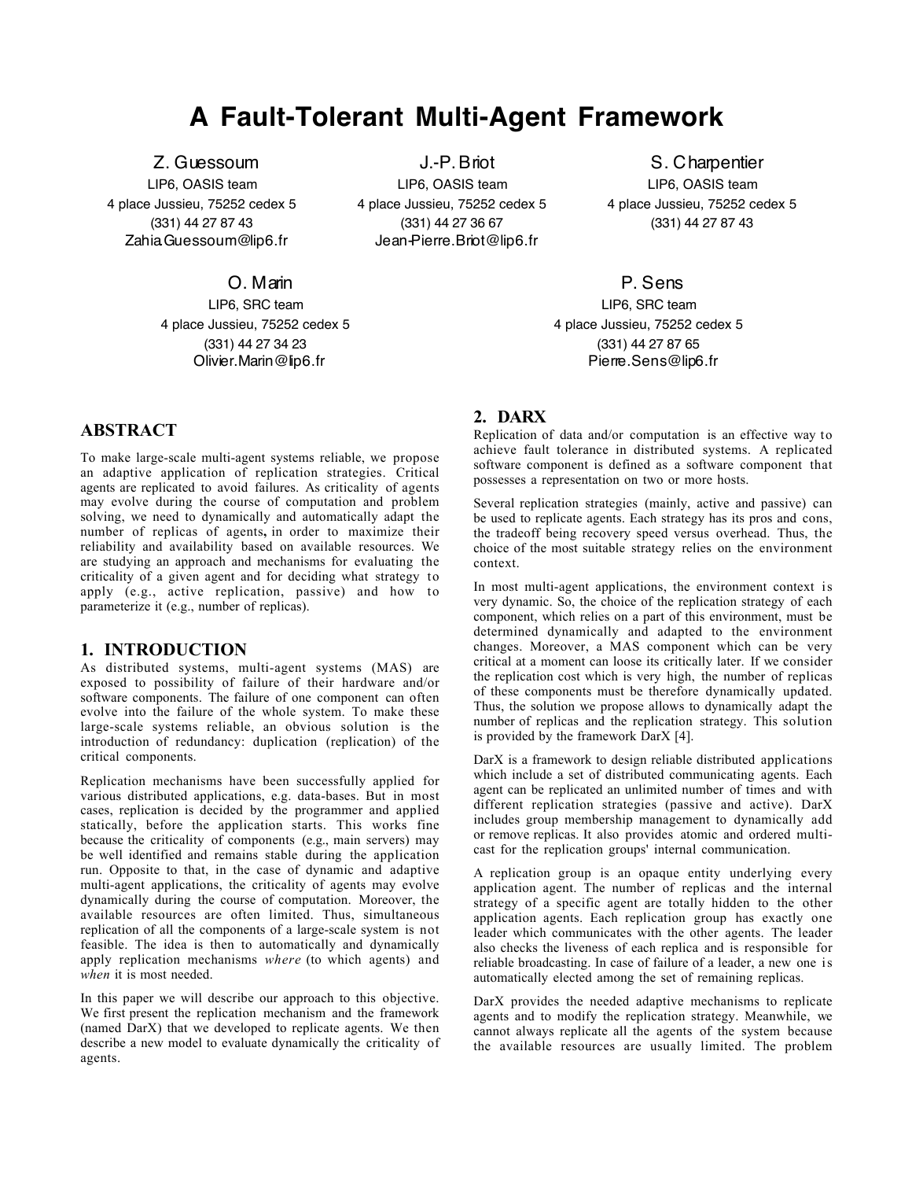# **A Fault-Tolerant Multi-Agent Framework**

Z. Guessoum

LIP6, OASIS team 4 place Jussieu, 75252 cedex 5 (331) 44 27 87 43 Zahia.Guessoum@lip6.fr

J.-P.Briot LIP6, OASIS team 4 place Jussieu, 75252 cedex 5 (331) 44 27 36 67 Jean-Pierre.Briot@lip6.fr

S. Charpentier LIP6, OASIS team 4 place Jussieu, 75252 cedex 5 (331) 44 27 87 43

P. Sens LIP6, SRC team 4 place Jussieu, 75252 cedex 5 (331) 44 27 87 65 Pierre.Sens@lip6.fr

## O. Marin

LIP6, SRC team 4 place Jussieu, 75252 cedex 5 (331) 44 27 34 23 Olivier.Marin@lip6.fr

## ABSTRACT

To make large-scale multi-agent systems reliable, we propose an adaptive application of replication strategies. Critical agents are replicated to avoid failures. As criticality of agents may evolve during the course of computation and problem solving, we need to dynamically and automatically adapt the number of replicas of agents, in order to maximize their reliability and availability based on available resources. We are studying an approach and mechanisms for evaluating the criticality of a given agent and for deciding what strategy to apply (e.g., active replication, passive) and how to parameterize it (e.g., number of replicas).

### 1. INTRODUCTION

As distributed systems, multi-agent systems (MAS) are exposed to possibility of failure of their hardware and/or software components. The failure of one component can often evolve into the failure of the whole system. To make these large-scale systems reliable, an obvious solution is the introduction of redundancy: duplication (replication) of the critical components.

Replication mechanisms have been successfully applied for various distributed applications, e.g. data-bases. But in most cases, replication is decided by the programmer and applied statically, before the application starts. This works fine because the criticality of components (e.g., main servers) may be well identified and remains stable during the application run. Opposite to that, in the case of dynamic and adaptive multi-agent applications, the criticality of agents may evolve dynamically during the course of computation. Moreover, the available resources are often limited. Thus, simultaneous replication of all the components of a large-scale system is not feasible. The idea is then to automatically and dynamically apply replication mechanisms *where* (to which agents) and *when* it is most needed.

In this paper we will describe our approach to this objective. We first present the replication mechanism and the framework (named DarX) that we developed to replicate agents. We then describe a new model to evaluate dynamically the criticality of agents.

### 2. DARX

Replication of data and/or computation is an effective way to achieve fault tolerance in distributed systems. A replicated software component is defined as a software component that possesses a representation on two or more hosts.

Several replication strategies (mainly, active and passive) can be used to replicate agents. Each strategy has its pros and cons, the tradeoff being recovery speed versus overhead. Thus, the choice of the most suitable strategy relies on the environment context.

In most multi-agent applications, the environment context is very dynamic. So, the choice of the replication strategy of each component, which relies on a part of this environment, must be determined dynamically and adapted to the environment changes. Moreover, a MAS component which can be very critical at a moment can loose its critically later. If we consider the replication cost which is very high, the number of replicas of these components must be therefore dynamically updated. Thus, the solution we propose allows to dynamically adapt the number of replicas and the replication strategy. This solution is provided by the framework  $\hat{D}arX$  [4].

DarX is a framework to design reliable distributed applications which include a set of distributed communicating agents. Each agent can be replicated an unlimited number of times and with different replication strategies (passive and active). DarX includes group membership management to dynamically add or remove replicas. It also provides atomic and ordered multicast for the replication groups' internal communication.

A replication group is an opaque entity underlying every application agent. The number of replicas and the internal strategy of a specific agent are totally hidden to the other application agents. Each replication group has exactly one leader which communicates with the other agents. The leader also checks the liveness of each replica and is responsible for reliable broadcasting. In case of failure of a leader, a new one is automatically elected among the set of remaining replicas.

DarX provides the needed adaptive mechanisms to replicate agents and to modify the replication strategy. Meanwhile, we cannot always replicate all the agents of the system because the available resources are usually limited. The problem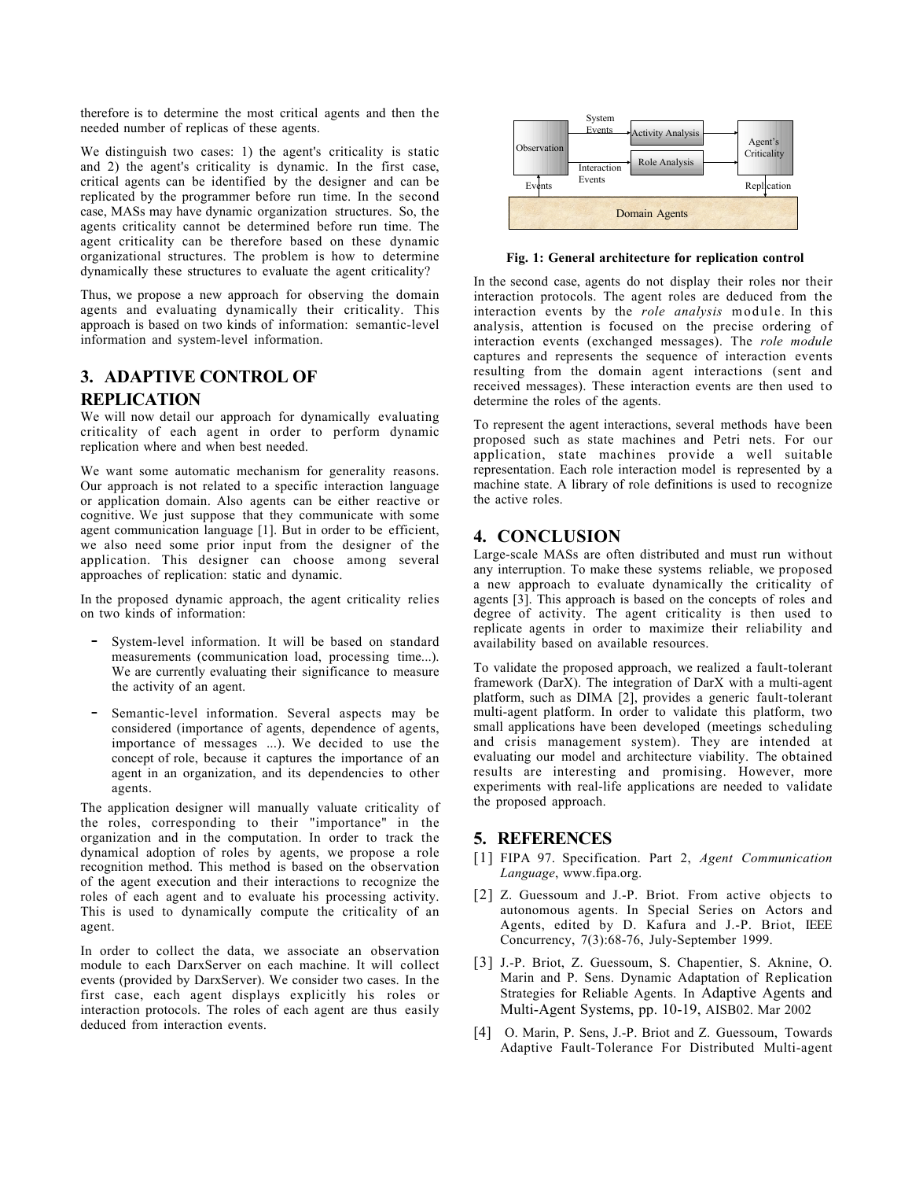therefore is to determine the most critical agents and then the needed number of replicas of these agents.

We distinguish two cases: 1) the agent's criticality is static and 2) the agent's criticality is dynamic. In the first case, critical agents can be identified by the designer and can be replicated by the programmer before run time. In the second case, MASs may have dynamic organization structures. So, the agents criticality cannot be determined before run time. The agent criticality can be therefore based on these dynamic organizational structures. The problem is how to determine dynamically these structures to evaluate the agent criticality?

Thus, we propose a new approach for observing the domain agents and evaluating dynamically their criticality. This approach is based on two kinds of information: semantic-level information and system-level information.

# 3. ADAPTIVE CONTROL OF

### REPLICATION

We will now detail our approach for dynamically evaluating criticality of each agent in order to perform dynamic replication where and when best needed.

We want some automatic mechanism for generality reasons. Our approach is not related to a specific interaction language or application domain. Also agents can be either reactive or cognitive. We just suppose that they communicate with some agent communication language [1]. But in order to be efficient, we also need some prior input from the designer of the application. This designer can choose among several approaches of replication: static and dynamic.

In the proposed dynamic approach, the agent criticality relies on two kinds of information:

- System-level information. It will be based on standard measurements (communication load, processing time...). We are currently evaluating their significance to measure the activity of an agent.
- Semantic-level information. Several aspects may be considered (importance of agents, dependence of agents, importance of messages ...). We decided to use the concept of role, because it captures the importance of an agent in an organization, and its dependencies to other agents.

The application designer will manually valuate criticality of the roles, corresponding to their "importance" in the organization and in the computation. In order to track the dynamical adoption of roles by agents, we propose a role recognition method. This method is based on the observation of the agent execution and their interactions to recognize the roles of each agent and to evaluate his processing activity. This is used to dynamically compute the criticality of an agent.

In order to collect the data, we associate an observation module to each DarxServer on each machine. It will collect events (provided by DarxServer). We consider two cases. In the first case, each agent displays explicitly his roles or interaction protocols. The roles of each agent are thus easily deduced from interaction events.



Fig. 1: General architecture for replication control

In the second case, agents do not display their roles nor their interaction protocols. The agent roles are deduced from the interaction events by the *role analysis* module *.* In this analysis, attention is focused on the precise ordering of interaction events (exchanged messages). The *role module* captures and represents the sequence of interaction events resulting from the domain agent interactions (sent and received messages). These interaction events are then used to determine the roles of the agents.

To represent the agent interactions, several methods have been proposed such as state machines and Petri nets. For our application, state machines provide a well suitable representation. Each role interaction model is represented by a machine state. A library of role definitions is used to recognize the active roles.

## 4. CONCLUSION

Large-scale MASs are often distributed and must run without any interruption. To make these systems reliable, we proposed a new approach to evaluate dynamically the criticality of agents [3]. This approach is based on the concepts of roles and degree of activity. The agent criticality is then used to replicate agents in order to maximize their reliability and availability based on available resources.

To validate the proposed approach, we realized a fault-tolerant framework (DarX). The integration of DarX with a multi-agent platform, such as DIMA [2], provides a generic fault-tolerant multi-agent platform. In order to validate this platform, two small applications have been developed (meetings scheduling and crisis management system). They are intended at evaluating our model and architecture viability. The obtained results are interesting and promising. However, more experiments with real-life applications are needed to validate the proposed approach.

## 5. REFERENCES

- [1] FIPA 97. Specification. Part 2, *Agent Communication Language*, www.fipa.org.
- [2] Z. Guessoum and J.-P. Briot. From active objects to autonomous agents. In Special Series on Actors and Agents, edited by D. Kafura and J.-P. Briot, IEEE Concurrency, 7(3):68-76, July-September 1999.
- [3] J.-P. Briot, Z. Guessoum, S. Chapentier, S. Aknine, O. Marin and P. Sens. Dynamic Adaptation of Replication Strategies for Reliable Agents. In Adaptive Agents and Multi-Agent Systems, pp. 10-19, AISB02. Mar 2002
- [4] O. Marin, P. Sens, J.-P. Briot and Z. Guessoum, Towards Adaptive Fault-Tolerance For Distributed Multi-agent